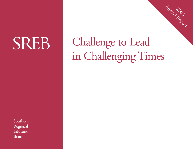# SREB

Challenge to Lead in Challenging Times

2003 Annual Report

SouthernRegional Education Board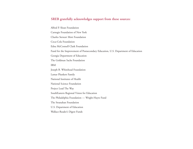#### **SREB gratefully acknowledges support from these sources:**

Alfred P. Sloan Foundation Carnegie Foundation of New York Charles Stewart Mott FoundationCoca-Cola FoundationEdna McConnell Clark Foundation Fund for the Improvement of Postsecondary Education, U.S. Department of Education Georgia Department of Education The Goldman Sachs Foundation IBMJoseph B. Whitehead Foundation Lamar Plunkett Family National Institutes of Health National Science Foundation Project Lead The Way SouthEastern Regional Vision for Education The Philadelphia Foundation — Wright-Hayre Fund The Stranahan FoundationU.S. Department of Education Wallace-Reader's Digest Funds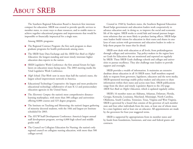The Southern Regional Education Board is America's first interstate compact for education. SREB was created to provide specific services to member states, to create ways to share resources, and to enable states to achieve together educational programs and improvements that would be impossible or financially impractical for a single state.

Among SREB's programs:

- The Regional Contract Program: the first such program to share graduate programs for health professionals among states.
- The SREB State Data Exchange and the *SREB Fact Book on Higher Education:* the longest-standing and most timely interstate higher education data reports in the nation.
- SREB Legislative Work Conference: the first annual forum for legislators on education issues facing states. The 2003 meeting marks the 52nd Legislative Work Conference.
- *High Schools That Work:* now in more than half the nation's states, the largest school improvement network in America.
- Educational Technology Cooperative: the largest and most productive educational technology collaborative of state K-12 and postsecondary education agencies in the United States.
- The *Electronic Campus:* the nation's most comprehensive distancelearning marketplace, with more than 300 colleges and universities offering 8,000 courses and 325 degree programs.
- The Institute on Teaching and Mentoring: the nation's largest gathering of minority doctoral students, with the 10th and largest-yet Institute scheduled for 2003.
- The *HSTW* Staff Development Conference: America's largest annual staff development program, serving 6,000 high school and middle grades staff.
- The Council on Collegiate Education for Nursing: the nation's only regional council on collegiate nursing education, with more than 500 colleges served.

Created in 1948 by Southern states, the Southern Regional Education Board helps government and education leaders work cooperatively to advance education and, in doing so, to improve the social and economic life of the region. SREB works to avoid fads and instead pursues longerterm solutions that are more likely to produce lasting effects. SREB helps state leaders build visions for education in their states and shares its analyses of state actions with government and education leaders in order to help them prepare for issues that lie ahead.

SREB now deals with education at all levels, from prekindergarten through colleges and universities. Top policy-makers in the region have set Goals for Education that are monitored and reported on regularly by SREB. These SREB Goals challenge schools and colleges and universities to pursue excellence. They also challenge state leaders to provide support and oversight.

SREB provides a wealth of information. It maintains an extensive database about education in all 16 SREB states. Staff members respond daily to requests from governors, legislators, educators and the news media. SREB-sponsored meetings enable policy-makers and educators to share information within their states and across state lines. SREB publications range from the short and timely *Legislative Reports* to the 232-page *SREB Fact Book on Higher Education,* which is updated regularly online.

SREB's 16 member states are Alabama, Arkansas, Delaware, Florida, Georgia, Kentucky, Louisiana, Maryland, Mississippi, North Carolina, Oklahoma, South Carolina, Tennessee, Texas, Virginia and West Virginia. SREB is governed by a board that consists of the governor of each member state and four other individuals from the state, at least one of whom must be a state legislator and at least one an educator. All appointments are made by the governors for four-year staggered terms.

SREB is supported by appropriations from its member states and by funds from foundations, businesses, and state and federal grants and contracts.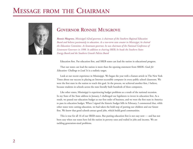# **MESSAGE FROM THE CHAIRMAN**



# **GOVERNOR RONNIE MUSGROVE**

*Ronnie Musgrove, Mississippi's 62nd governor, is chairman of the Southern Regional Education Board and believes passionately in education. As a two-term state senator in Mississippi, he chaired the Education Committee. As lieutenant governor, he was chairman of the National Conference of Lieutenant Governors in 1998. In addition to chairing SREB, he heads the Southern States Energy Board and the Southern Growth Policies Board*

Education first. Put education first, and SREB states can lead the nation in educational progress.

That our states can lead the nation is more than the opening statement from SREB's *Goals for Education: Challenge to Lead.* It is a realistic target.

Look at our recent experience in Mississippi. We began the year with a feature article in The New York Times about our success in placing an Internet-accessible computer in every public school classroom. We were the first state in the nation to reach this goal. In the process, we achieved another first, I believe, because students in schools across the state literally built hundreds of these computers.

Like other states, Mississippi is experiencing budget problems as a result of the national recession. In my State of the State address in January, I challenged our legislators to invest in education first. As a result, we passed our education budget as our first order of business, and we were the first state in America to pass its education budget. When I signed the historic budget bills in February, I commented that, while other states were cutting education, we had taken the bold step of putting our children and our future first. We know that good schools attract good jobs, which build good communities.

This is true for all 16 of our SREB states. But putting education first is not easy now — and has not been easy when our states have led the nation in poverty rates and trailed in jobs and income. We are tackling generation-sized problems.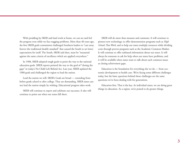With prodding by SREB and hard work at home, we can see and feel the progress even while we face nagging problems. More than 40 years ago, the first SREB goals commission challenged Southern leaders to "cast away forever the traditional double standard" that caused the South to set lower expectations for itself. The South, SREB said then, must be "measured against the same criteria of excellence which are applied everywhere."

In 1988, SREB adopted tough goals to point the way to the national education goals. SREB reports pointed the way to the goal of "closing the gaps" in today's No Child Left Behind Act. Last year, SREB updated the 1988 goals and challenged the region to lead the nation.

Lead the nation we will. SREB's Goals are broad — extending from before grade school to after college. They are demanding. SREB states cannot lead the nation simply by wishing. Educational progress takes work.

SREB will continue to report and celebrate our successes. It also will continue to point out when our states fall short.

SREB will do more than measure and comment. It will continue to <sup>p</sup>ioneer new technology, to offer demonstration programs such as *High Schools That Work,* and to help our states multiply resources while dividing costs through proven programs such as the Academic Common Market. It will continue to offer unbiased information about our states. It will always be someone to ask for help when our states have problems, and it will be available when states want to talk about such common issues as closing achievement gaps.

Education is the foundation for everything else we do — from economic development to health care. We're facing some different challenges today, but the basic questions behind those challenges are the same questions we've been dealing with for generations.

Education first. That is the key. As individual states, we are doing great things in education. As a region, we're poised to do greater things.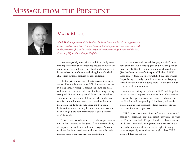# **MESSAGE FROM THE PRESIDENT**



# **MARK MUSICK**

*Mark Musick is president of the Southern Regional Education Board, an organization he has served for more than 25 years. He came to SREB from Virginia, where he served in the governor's office and with the Virginia Community College System and the State Council of Higher Education for Virginia.*

Now — especially now, with very difficult budgets it is important that SREB states stay focused on where we want to go. The South must not abandon the things that have made such a difference in the long but unfinished climb from national problem to national leader.

The budget realities facing the states cannot be sugarcoated. The problems are more difficult than we have seen in a long time. Newspapers around the South are filled with stories of real cuts, and education is no longer being exempted. To save money, school districts are canceling summer schools and some of the extra help for children who fail promotion tests — at the same time that new promotion standards will hold more children back. Universities are announcing that some students may not be able to graduate next year because required courses won't be taught.

Yet we know that education is the only long-term solution to the economic challenges we face. There are plenty of people in the world who will work cheaper. America needs — the South needs — an educated work force that is much more productive than the competition.

The South has made remarkable progress. SREB states have taken the lead in setting goals and measuring results. Last year, SREB called on the South to reach even higher. (See the Goals section of this report.) The list of SREB Goals is more than can be accomplished this year or next. People facing real budget problems worry about keeping what they have, not about doing more. Yet the South must remember where it is headed.

As Governor Musgrove points out, SREB will help. But the real action takes place in our states. It is policy-makers — particularly governors and legislators — who must set the direction and the spending. It is schools, universities, and community and technical colleges that must provide the education that people need.

SREB states have a long history of working together, of sharing resources and ideas. This report shows some of what the 16 states have built. Cooperation that enables states to divide costs while multiplying services to their residents is especially important when budgets are tight. Working together, especially when times are tough, is how SREB states will lead the nation.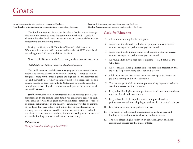**Lynn Cornett,** senior vice president: lynn.cornett@sreb.org **Joan Lord,** director, education policies: joan.lord@sreb.org **Tom Bradbury,** vice president for communications: tom.bradbury@sreb.org **Heather Andrews,** research assistant: heather.andrews@sreb.org

The Southern Regional Education Board was the first education organization in the nation to stress that states not only should set goals for education but also should measure progress toward those goals by making comparisons and monitoring trends.

During the 1990s, the SREB series of biennial publications and *Educational Benchmarks 2000* summarized how the 16 SREB states fared in working toward 12 goals established in 1988.

Now, the SREB Goals for the 21st century make a dramatic statement:

*"SREB states can lead the nation in educational progress."*

That bold statement and the accompanying goals have several themes. Students at every level need to be ready for learning — ready to learn in first grade, ready for the middle grades and high school, and ready for college and the workplace. Achievement gaps need to be closed. Schools and colleges need to be ready for students. States need to provide leadership through one system of quality schools and colleges and universities for all the South's citizens.

Staff have traveled to member states for state-customized SREB Goals presentations. In the coming years, SREB will continue to report on each state's progress toward these goals: on young children's readiness for school; on student achievement; on the quality of education provided by community colleges, four-year colleges and universities; on state leadership in ensuring that every student has effective teachers and that every school has effective leaders; on accountability for schools, colleges and universities; and on the funding priority for education in state budgets.

#### *Publications:*

*Goals for Education: Challenge to Lead* (2002)

#### **Goals for Education**

- 1. All children are ready for the first grade.
- 2. Achievement in the early grades for all groups of students exceeds national averages and performance gaps are closed.
- 3. Achievement in the middle grades for all groups of students exceeds national averages and performance gaps are closed.
- 4. All young adults have a high school diploma or, if not, pass the GED tests.
- 5. All recent high school graduates have solid academic preparation and are ready for postsecondary education and a career.
- 6. Adults who are not high school graduates participate in literacy and job-skills training and further education.
- 7. The percentage of adults who earn postsecondary degrees or technical certificates exceeds national averages.
- 8. Every school has higher student performance and meets state academic standards for all students each year.
- 9. Every school has leadership that results in improved student performance — and leadership begins with an effective school principal.
- 10. Every student is taught by qualified teachers.
- 11. The quality of colleges and universities is regularly assessed and funding is targeted to quality, efficiency and state needs.
- 12. The state places a high priority on an education *system* of schools, colleges and universities that is accountable.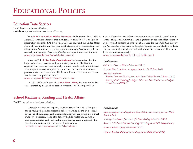### **Education Data Services**

**Joe Marks,** director: joe.marks@sreb.org **Marie Loverde,** research assistant: marie.loverde@sreb.org

> The *SREB Fact Book on Higher Education,* which dates back to 1956, is a biennial statistical reference that includes more than 75 tables and policy information about the SREB region, each SREB state and the United States. Featured Facts publications for each SREB state are also compiled from this information. An interactive, online edition of the *Fact Book* takes readers to regularly updated data. *Fact Book Bulletins* are issued throughout the year. (www.sreb.org/main/EdData/FactBook/factbookindex.asp)

> Since 1970 the **SREB-State Data Exchange** has brought together the higher education governing and coordinating boards in SREB states. Agencies' staff members meet annually to review results and plan initiatives. This program collects, compiles and publishes current-year statistics on postsecondary education in the SREB states. Its most recent annual report was the most comprehensive ever.

(www.sreb.org/main/EdData/DataExch/dataexchindex.asp)

In 1991 SREB established the **SREB Data Library,** the first online data center created by a regional education compact. The library provides a

### **School Readiness, Reading and Health Affairs**

**David Denton,** director: david.denton@sreb.org

Through meetings and reports, SREB addresses issues related to preparing young children for success in school, teaching all children to read by the end of third grade and assisting students who are struggling to meet grade-level standards. SREB also deals with child health issues, such as immunization rates, and with health professions education, especially the need for more attention to the needs of older adults. (www.sreb.org/programs/srr/schoolreadiness/schoolindex.asp)

wealth of state-by-state information about elementary and secondary education, colleges and universities, and significant trends that affect education at all levels. It contains all of the databases used for the *SREB Fact Book on Higher Education,* the *Goals for Education* reports and the SREB-State Data Exchange as well as databases on health professions education. These databases are updated regularly.

(www.sreb.org/main/EdData/DataLibrary/datalibindex.asp)

#### *Publications:*

*SREB Fact Book on Higher Education* (2003)

*Featured Facts* (state-by-state reports from the *SREB Fact Book)*

*Fact Book Bulletins:* 

*Turning Freshmen Into Sophomores is Key to College Students' Success* (2003) *Tracking Public Funding for Higher Education More Vital as State Budgets Become Strained* (2002)

#### *Publications:*

*State-Supported Prekindergarten in the SREB Region: Growing Even in Hard Times* (2003)

*Reading First: Lessons from Successful State Reading Initiatives* (2003)

*Summer School and Summer Learning 2002: Progress and Challenges* (2002)

*Summer School: Unfulfilled Promise* (2002)

*Focus on Quality: Prekindergarten Programs in SREB States* (2002)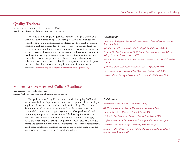### **Quality Teachers**

**Lynn Cornett,** senior vice president: lynn.cornett@sreb.org **Gale Gaines,** director, legislative services: gale.gaines@sreb.org

> "Every student is taught by qualified teachers." This goal carries on a theme that SREB noted in 1981: Preparing teachers is the number one topic that schools and colleges need to address together. SREB's work on ensuring a qualified teacher deals not only with preparing new teachers. It also involves calling for better data about supply, demand and quality of teachers; licensure focused on performance; and professional development that helps teachers improve student achievement. Qualified teachers are especially needed in low-performing schools. Hiring and assignment policies and salaries and benefits should be competitive in the marketplace. Incentives should be aimed at getting the most-qualified teacher in every classroom. (www.sreb.org/main/HigherEd/leadership/leadershipindex.asp)

#### *Publications:*

*Focus on an Untapped Classroom Resource: Helping Paraprofessionals Become Teachers* (2003)

*Spinning Our Wheels: Minority Teacher Supply in SREB States* (2003)

*Focus on Teacher Salaries in the SREB States: The Latest on Average Salaries, Salary Goals and Other Actions* (2003)

*SREB States Continue to Lead the Nation in National Board Certified Teachers* (2003)

*Quality Teachers: Can Incentive Policies Make a Difference?* (2002) *Performance Pay for Teachers: What Works and What Doesn't?* (2002) *Beyond Salaries: Employee Benefits for Teachers in the SREB States* (2001)

### **Student Achievement and College Readiness**

**Joan Lord,** director: joan.lord@sreb.org **Heather Andrews,** research assistant: heather.andrews@sreb.org

> College Readiness Policy Connections, launched in spring 2001 with funds from the U.S. Department of Education, helps states focus on aligning their policies to support student readiness for college. The program focuses on six policy areas: curriculum and standards; assessment and accountability; educational support systems; qualified professional staff; community and parental partnerships; and facilities/equipment/instructional materials. It was begun with a focus on three states — Georgia, Texas and West Virginia. Particular emphases in these states have included parent and community involvement, mathematics and science achievement, merit-based scholarship programs and the eighth-to-ninth grade transition to prepare more students for high school and college.

#### *Publications:*

*Information Brief: ACT and SAT Scores* (2003) *ACT/SAT Scores in the South: The Challenge to Lead* (2003) *Focus on the GED: Who Takes It and Why?* (2002) *High School to College and Careers: Aligning State Policies* (2002) *Higher Education Studies, Reports and Surveys in the SREB States* (2002) *Student Readiness for College: Connecting State Policies* (2002) *Raising the Bar: States' Progress in Advanced Placement and International Baccalaureate* (Summer 2003)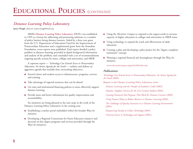# *Distance Learning Policy Laboratory*

**James Mingle,** director: james.mingle@sreb.org

SREB's **Distance Learning Policy Laboratory** (DLPL) was established in 1999 as a forum for addressing and promoting solutions to a number of policy barriers facing distance learners. Aided by a three year grant from the U.S. Department of Education's Fund for the Improvement of Postsecondary Education and a supplemental grant from the Stranahan Foundation, seven reports were published. Each report detailed a policy problem in distance learning; provided in-depth background information and analysis of the problem; and concluded with a set of recommendations targeting specific actions by states, colleges and universities, and SREB.

A capstone report — *Technology Can Extend Access to Postsecondary Education: An Action Agenda for the South* — outlines and defines an aggressive agenda that includes four overarching objectives:

- Extend citizen and student access to infrastructure, programs, services and training.
- Take advantage of regional resources that can be shared.
- Use state and institutional financing policies to more effectively support distance learning.
- Provide more and better information for quality improvement and accountability.

Six initiatives are being planned as the next steps in the work of the Distance Learning Policy Laboratory in the coming year:

- Establishing a teacher portal embedded within the broader Ways In initiative.
- Developing a Regional Consortium for Nurse Educators (master's and doctoral on-line degree programs and services provided through the Ways In initiative).
- Using the *Electronic Campus* to respond to the urgent needs to increase capacity in higher education in colleges and universities in SREB states.
- Using technology to expand the reach and effectiveness of adult education.
- Creating a plan and developing a pilot project for the "degree completer institution" concept.
- Planning a regional financial aid clearinghouse through the Ways In initiative.

(www.electroniccampus.org/policylab/index.asp)

#### *Publications:*

*Technology Can Extend Access to Postsecondary Education: An Action Agenda for the South* (2002)

Reports in the Distance Learning Policy Laboratory series:

*Distance Learning and the Transfer of Academic Credit* (2002)

*Anytime, Anyplace Services for the 21st Century Student* (2002)

*Creating Financial Aid Programs That Work for Distance Learners* (2002)

*Using Finance Policy to Reduce Barriers to Distance Learning* (2002)

*The Challenges of Quality Assurance in a Distance Learning Environment* (2001)

*Empowering Faculty to Utilize Technology* (2001) *Universal Access to Technology and Support* (2001)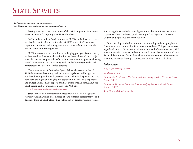# **STATE SERVICES**

**Jim Watts,** vice president: jim.watts@sreb.org **Gale Gaines,** director, legislative services: gale.gaines@sreb.org

> Serving member states is the intent of all SREB programs. State services are at the heart of everything that SREB does best.

> Staff members in State Services often are SREB's initial link to executive and legislative officials and staff in the 16 SREB states. Staff members respond to questions with timely, concise, accurate information, and they prepare reports on pressing issues.

> SREB is known for its commitment to helping policy-makers accurately analyze trends and issues as they arise. Reports have addressed such subjects as teacher salaries, employee benefits, school accountability, policies allowing retired teachers to return to teaching, and scholarship programs that help paraprofessionals become certified teachers.

> The annual series of *Legislative Reports* follows the events in the 16 SREB legislatures, beginning with governors' legislative and budget proposals and ending with final legislative actions. The final report of the series each year, the *Legislative Briefing,* is a topical summary of final legislative and budget actions. These reports are shared with officials throughout the SREB region and are available on the SREB Web site. (www.sreb.org/main/LegAction/legactionindex.asp)

State Services staff members work closely with the SREB Legislative Advisory Council, which is composed of state senators, representatives and delegates from all SREB states. The staff members regularly make presentations to legislative and educational groups and also coordinate the annual Legislative Work Conference, and meetings of the Legislative Advisory Council and legislative and executive staff. Other meetings and efforts respond to continuing and emerging issues.

One priority is accountability for schools and colleges. This year, state test ing officials met to discuss standard-setting and end-of-course testing. SREB states are working together to develop end-of-course algebra exams and pro fessional development for math teachers and administrators. These activities exemplify interstate sharing, a cornerstone of what SREB is all about.

#### *Publications:*

#### *2003 Legislative Report* series

*Legislative Briefing*

*Focus on Teacher Salaries: The Latest on Salary Averages, Salary Goals and Other Actions* (2003)

*Focus on an Untapped Classroom Resource: Helping Paraprofessionals Become Teachers* (2003)

*State Notes* (published annually)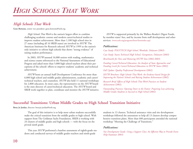# *High Schools That Work*

**Gene Bottoms,** senior vice president: gene.bottoms@sreb.org

*High Schools That Work* is the nation's largest effort to combine challenging academic courses and modern career/technical studies to improve student achievement. More than 1,100 high school sites in 27 states (including all 16 SREB states) are involved in *HSTW*. The American Institutes for Research selected *HSTW* in 1999 as the nation's only initiative to reform high schools that shows "strong evidence" of raising student performance.

In 2003, *HSTW* assessed 16,000 seniors with reading, mathematics and science exams referenced to the National Assessment of Educational Progress and asked more than 5,000 high school teachers about their perceptions of the schools' efforts to improve students' academic and technical achievement.

*HSTW* hosts an annual Staff Development Conference for more than 6,000 high school and middle grades administrators, academic and career/ technical teachers, and counselors. *HSTW* also held 11 national workshops for 2,800 educators. In most cases, the representative on the *HSTW* board is the state director of career/technical education. The *HSTW* board and SREB work together to plan, coordinate and monitor the *HSTW* initiative.

*HSTW* is supported primarily by the Wallace-Reader's Digest Funds, by member states' fees, and by income from staff development and other services. (www.sreb.org/programs/hstw/hstwindex.asp)

#### *Publications:*

*Case Study: POLYTECH High School, Woodside, Delaware* (2003) *Case Study: Sussex Technical High School, Georgetown, Delaware* (2003) *Benchmarks for New and Maturing HSTW Sites* (2002-2003)

*Funding Career/Technical Education: An Analysis of State Approaches and Funding Levels for Career/Technical Education in HSTW States* (2002)

*Fall Update: Quality Professional Development* (2002)

*HSTW Brochure: High Schools That Work: An Evidence-based Design for Improving the Nation's Schools and Raising Student Achievement* (2002)

*Research Brief: Effects of High Schools That Work Practices on Student Achievement* (2002)

*Outstanding Practices: Opening Doors to the Future: Preparing Low-achieving Middle Grades Students to Succeed in High School* (2002)

# **Successful Transitions: Urban Middle Grades to High School Transition Initiative**

**Betty Jo Jordan,** director: bettyjo.jordan@sreb.org

The goal of this initiative is to help more urban students successfully make the critical transition from the middle grades to high school. With support from The Goldman Sachs Foundation, SREB is working with 24 clusters of middle grades and high schools — with the focus on the <sup>p</sup>ivotal ninth grade.

This year *HSTW* performed a baseline assessment of eighth-grade students and conducted surveys of middle grades teachers and ninth-grade

students in 13 clusters. Technical assistance visits and site development workshops followed the assessment to help all 13 clusters develop comprehensive transition plans. More than 600 participants attended the national workshop "Meeting the Challenge of Transitions."

#### *Publications:*

*Site Development Guide: Using a Support Class: An Effective Way to Provide Extra Help* (Summer 2003)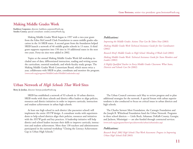### **Making Middle Grades Work**

**Kathleen Carpenter,** director: kathleen.carpenter@sreb.org **Sondra Cooney,** special consultant: sondra.cooney@sreb.org

> Making Middle Grades Work began in 1997 with a two-year grant from the Edna McConnell Clark Foundation to assess middle grades education in the 16 SREB states. A second grant from the foundation helped SREB launch a network of 46 middle grades schools in 13 states. A third grant supports expansion into 150 sites in 10 additional states in the next two years. Forty-six sites were added in 2002.

Topics at the annual Making Middle Grades Work fall workshop included uses of data, differentiated instruction, reading and writing across the curriculum, essential standards, and whole-faculty study groups. The Making Middle Grades Work Consortium Board, which meets twice a year, collaborates with SREB to plan, coordinate and monitor the program. (www.sreb.org/programs/MiddleGrades/MiddleGradesindex.asp)

#### *Publications:*

*Improving the Middle Grades: Actions That Can Be Taken Now* (2003)

*Making Middle Grades Work Technical Assistance Guide for Site Coordinators* (2002)

*Research Brief: Middle Grades to High School: Mending A Weak Link* (2002)

*Making Middle Grades Work: Technical Assistance Guide for Team Members and Leaders* (2002)

*A Highly Qualified Teacher in Every Middle Grades Classroom: What States, Districts and Schools Can Do* (2002)

#### **Urban Network of** *High Schools That Work* **Sites**

**Betty Jo Jordan,** director: bettyjo.jordan@sreb.org

SREB has established a network of 93 schools in 10 urban districts. SREB works with these schools and district office leaders to align policies, resources and district initiatives in order to improve curricula, instruction and student achievement in urban high schools.

At least one high school in each district (the pacesetter school) will implement the entire *HSTW* design. A consultant works with superintendents to help school districts align their policies, resources and initiatives with the *HSTW* goals and key practices. A leadership initiative will help district and school leaders increase their skills to improve curricula, instruction and student achievement. More than 130 teachers and administrators participated in the national workshop "Closing the Literacy Achievement Gap in Urban High Schools."

The Urban Council convenes each May to review progress and to plan additional strategies for the network. A special forum with urban superintendents is also conducted to focus on critical issues in urban districts andhigh schools.

The Charles Stewart Mott Foundation, the Carnegie Foundation and the Joseph B. Whitehead Foundation fund the Urban Network. Programs in three school districts — Little Rock, Arkansas; DeKalb County, Georgia; and Jackson, Mississippi — are also funded through contracted services. (www.sreb.org/programs/hstw/specialnetworks/urban/urbanindex.asp)

#### *Publications:*

*Research Brief: 2002 High Schools That Work Assessment: Progress in Improving Urban High Schools* (Fall 2003)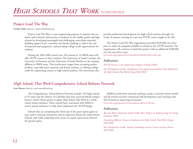### **Project Lead The Way**

**Carolyn Helm,** director: carolyn.helm@sreb.org

Project Lead The Way is a pre-engineering program to improve the academic and technical achievement of students in the middle grades and high schools by developing meaningful and challenging curriculum materials, building support from counselors and faculty, helping to reduce the cost of materials and equipment, and providing college-credit opportunities for students.

During the 2003-2004 school year, 184 schools in 14 SREB states will offer PLTW courses to their students. The University of South Carolina, the University of Houston and the University of South Florida are the training affiliates in SREB states. This involvement ranges from recruiting quality students, especially more minority and female students, to offering college credit for engineering courses to high school students. The universities also

provide professional development for high school teachers through two weeks of summer training for each new PLTW course taught in the fall.

The Project Lead The Way organization provided \$450,000 over three years to make the program available to schools in the *HSTW* network. The organization will continue to fund this project with an additional \$500,000 over the next three years.

(www.sreb.org/programs/hstw/specialnetworks/pltw/pltw-index.asp)

#### *Publications:*

*HSTW Presents a Pre-engineering Program of Study* (2002)

*Site Development Guide: Developing a Pre-engineering Academy That Implements the High Schools That Work Design* (Fall 2003)

### *High Schools That Work* **Comprehensive School Reform Network**

**Scott Warren,** director: scott.warren@sreb.org

The Comprehensive School Reform Network includes 102 high schools in 35 states and the District of Columbia that have received federal comprehensive school reform grants to adopt *High Schools That Work* as a wholeschool reform initiative. These schools have contracted with SREB toreceive special assistance to help them implement the *HSTW* design.

Schools that are completing the third year of the grant report gains on state and/or national assessments and an improved climate for achievement. Schools with stable leadership and a focus on raised expectations showed the greatest gains.

SREB has held three national academies using a train-the-trainer model, and all schools received customized staff development and coaching visits that focused on improving instruction.

(www.sreb.org/programs/hstw/specialnetworks/csr/CSR.asp)

#### *Publications:*

*Research Brief: Improving Schools Make More Progress in Implementing the Design* (Summer 2003)

*Developing Effective Teams to Implement the High Schools That Work Design*  (Fall 2003)

*Site Development Guide: Student Scheduling and the Course-selection Process*  (Fall 2003)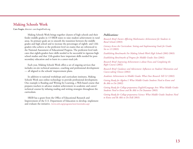### **Making Schools Work**

**Caro Feagin,** director: caro.feagin@sreb.org

Making Schools Work brings together clusters of high schools and their feeder middle grades in 13 SREB states to raise student achievement in rural areas. Its primary goals are to smooth the transition between the middle grades and high school and to increase the percentages of eighth- and 12thgraders who achieve at the proficient level on exams that are referenced to the National Assessment of Educational Progress. The proficient level indicates that eighth-graders have skills needed to be successful in rigorous high school studies and that 12th-graders have important skills needed for postsecondary education and to learn in a career-track job.

Each year, Making Schools Work offers a set of ongoing services that includes on-site technical assistance, coaching and professional development — all aligned to the schools' improvement plans.

In addition to national workshops and curriculum institutes, Making Schools Work uses online technology to provide professional development. One example is Reading and Writing for Learning, a Web-based course that prepares teachers to advance student achievement in academic and career/ technical courses by infusing reading and writing strategies throughout the curriculum.

SREB has a grant from the Office of Educational Research and Improvement of the U.S. Department of Education to develop, implement and evaluate the initiative. (www.sreb.org/programs/msw/mswindex.asp)

#### *Publications:*

*Research Brief: Factors Affecting Mathematics Achievement for Students in Rural Schools* (2003)

*Literacy Across the Curriculum: Setting and Implementing Goals for Grades Six to 12* (2003)

*Establishing Benchmarks For Making Schools Work High Schools* (2002-2003)

*Establishing Benchmarks of Progress for Middle Grades Sites* (2002)

*Research Brief: Improving Achievement is about Focus and Completing the Right Courses* (2002)

*Research Brief: Guidance and Advisement: Influences on Students' Motivation and Course-taking Choices* (2002)

*Academic Achievement in Middle Grades: What Does Research Tell Us?* (2002)

*Getting Ready for Algebra I: What Middle Grades Students Need to Know and Be Able to Do* (2002)

*Getting Ready for College-preparatory English/Language Arts: What Middle Grades Students Need to Know and Be Able to Do* (Summer 2003)

*Getting Ready for College-preparatory Science: What Middle Grades Students Need to Know and Be Able to Do* (Fall 2003)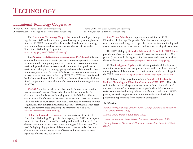# **Educational Technology Cooperative**

**William R. "Bill" Thomas,** director: bthomas@sreb.org **Dianne Griffin,** staff associate, dianne.griffin@sreb.org **JB Mathews,** senior technology policy adviser: jbmathews@sreb.org **June Weis,** research assistant, june.weis@sreb.org

The **Educational Technology Cooperative,** now in its ninth year, brings together state K-12 and postsecondary coordinating and governing boards from the 16 SREB states to address issues related to the use of technology in education. More than three dozen state agencies participate in the Educational Technology Cooperative. (www.sreb.org/programs/EdTech/edtechindex.asp)

The **American TelEdCommunications Alliance (ATAlliance)** links education and telecommunications to provide schools, colleges, state agencies, libraries and other nonprofit groups with benefits in telecommunications services. It provides low-cost access to telecommunications products and services and helps guide technology policy and standards in ways that benefit the nonprofit sector. The latest ATAlliance contracts for online course management software were initiated by SREB. The ATAlliance was formed by the Southern Regional Education Board, the other three regional educational compacts and a national nonprofit telecommunications organization (MiCTA).

*EvaluTech* is a free, searchable database on the Internet that contains more than 8,000 reviews of instructional materials recommended for classroom use in kindergarten through grade 12. *EvaluTech* provides easy access to a wealth of materials that meet the instructional needs of teachers. There are links to SREB states' instructional resources; connections to other organizations that evaluate instructional materials; information about accessibility and research-based programs; and materials and Web sites. (www.evalutech.sreb.org/search/index.asp)

**Online Professional Development** is a new initiative of the SREB Educational Technology Cooperative. It brings together SREB state departments of education to train staff to develop and provide online professional development and to share course content among participating states. The need for high-quality professional development is greater today than ever. Online instruction has proven to be effective, and it can reach teachers regardless of where they live or teach.

**State Virtual Schools** is an important emphasis for the SREB Educational Technology Cooperative. With in-person meetings and electronic information sharing, the cooperative members focus on funding and quality issues and what states need to consider when starting virtual schools.

The SREB Web page **Statewide Educational Networks in SREB States** provides state-by-state information on 86 networks (increased from 59 a year ago) that provide the highways for data, voice and video applications shared within states. (www.sreb.org/programs/EdTech/survey/startpage.asp)

SREB's **Spotlight on Algebra,** a Web-based professional development course for mathematics teachers, provides states with a quality example of online professional development. It is available for schools and colleges in the SREB states. (www.sreb.org/programs/EdTech/Spotlight/spotlightindex.asp)

SREB is one of five organizations in the **SouthEast Initiatives for Regional Technology in Education Consortium (SEIR\*TEC).** This federally funded initiative helps state departments of education and school districts plan uses of technology, write proposals, share information and review educational technology policies that affect K-12 education. SREB's primary role is sharing information about state educational technology policies and opportunities for cooperation among states.

#### *Publications:*

*Essential Principles of High-Quality Online Teaching: Guidelines for Evaluating K-12 Online Teachers* (2003)

*Status of Online Testing in SREB States* (2003)

*Virtual Learning and Charter Schools: Issues and Potential Impact* (2002)

*Funding Web-based Courses for K-12 Students to Meet State Educational Goals* (2002)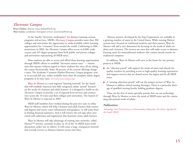### *Electronic Campus*

**Bruce Chaloux,** director: bruce.chaloux@sreb.org **Mary Larson,** coordinator of program services: mary.larson@sreb.org

> As the South's "electronic marketplace" for distance learning courses, programs and services, SREB's *Electronic Campus* provides more than 300 colleges and universities the opportunity to make available online learning opportunities for "e-learners" from around the world. Celebrating its fifth anniversary in 2003, the *Electronic Campus* offers access to 8,000 credit courses and 325 degree programs from both public and private colleges and universities representing all SREB states.

More students are able to access and afford these learning opportunities through SREB's efforts to establish "electronic tuition rates" — tuition rates that operate without regard to where students live since all are taking the course electronically. Some 20 percent of the current offerings charge e-rates. The Academic Common Market/*Electronic Campus* program, now in its second full year, makes available more than 20 complete online degree programs at in-state rates. (www.electroniccampus.org)

**Ways In Mentor** is a new regional "learning network" for the South that will establish America's first fully integrated online "portal" focused on the needs of e-learners and adult learners. It is designed to build on the *Electronic Campus* to provide a set of regional-level services and connectivity across the 16 states and their colleges and universities. The launch of Ways In Mentor is expected in 2003.

SREB staff members have worked during the past two years to refine Ways In Mentor, which will help e-learners and adult learners find courses and degrees and secure career information and guidance. It will assist them in finding financial assistance. And it will remove the red tape often associated with admission and registration that frustrates many adult learners.

Ways In Mentor will take advantage of existing state networks, called Mentor™ systems, currently in place in 10 of the 16 SREB states (with discussions under way in others). It will create a large, transparent network that extends services to distance learners across state lines.

Mentor systems, developed by the Xap Corporation, are available in a growing number of states in the United States. While existing Mentor systems have focused on traditional students and their parents, Ways In Mentor will add a new dimension by focusing on the needs of adult students and e-learners. The services are ones that will make access to distance learning easier for nontraditional students who cannot attend courses on traditional campuses.

In addition, Ways In Mentor will serve as the home for two priority projects at SREB:

- An "educator portal" will support the needs of states and schools for quality teachers by providing access to high-quality learning experiences and support services that are shared across the region and by all SREB states.
- A "nursing education portal" will use the unique services of Ways In Mentor to address critical nursing shortages. There is a particular shortage of qualified nursing faculty holding graduate degrees.

These are the first of many specialty portals that can use technology through Ways In Mentor to meet the needs of SREB states and the continuing educational needs of adults.

#### *Publications:*

*Technology Can Extend Access to Postsecondary Education: An Action Agenda for the South* (2002)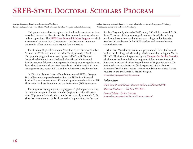# **SREB-STATE DOCTORAL SCHOLARS PROGRAM**

**Ansley Abraham,** director: ansley.abraham@sreb.org **Debra Garmon,** assistant director for doctoral scholar services: debra.garmon@sreb.org **Robert Belle,** director of the SREB-AGEP Doctoral Scholars Program: bob.belle@sreb.org **Walt Jacobs,** consultant: walt.jacobs@sreb.org

Colleges and universities throughout the South and across America have recognized the need to diversify their faculties to serve increasingly diverse student populations. The **SREB-State Doctoral Scholars Program** — which is represented on more than 75 campuses — has become an important resource for efforts to increase the region's faculty diversity.

The Southern Regional Education Board formed the Doctoral Scholars Program in 1993 in response to the lack of faculty diversity. Now in its 10th year, the program is supported by over half of the SREB states. Designed to be "more than a check and a handshake," the Doctoral Scholars Program follows a simple approach: identify minority graduate students who are committed to careers in academia; provide them with intensive support as they pursue Ph.D.s; and help them secure faculty positions.

In 2002, the National Science Foundation awarded SREB a five-year, \$1.6 million grant to provide services from the SREB-State Doctoral Scholars Program to more than 240 minority graduate students in the NSF Alliance for Graduate Education and the Professoriate (AGEP) program.

The program's "strong support = staying power" philosophy is working. Its retention and graduation rate is almost 90 percent; nationwide, only about 37 percent of minority doctoral scholars eventually earn their Ph.D.s. More than 460 minority scholars have received support from the Doctoral

Scholars Program; by the end of 2003, nearly 200 will have earned Ph.D.s. Some 70 percent of the program's graduates have found jobs as faculty, postdoctoral researchers or administrators at colleges and universities. Another 230 scholars are in the SREB pipeline, and new students are accepted each year.

More than 600 scholars, faculty and guests attended the ninth annual Institute on Teaching and Mentoring, which was held in Arlington, Va., in fall 2002. The institute is sponsored by the **Compact for Faculty Diversity**, which unites the doctoral scholars programs of the Southern Regional Education Board and the New England Board of Higher Education. The institute also serves scholars and faculty sponsored by the National Institutes of Health, the National Science Foundation, the Alfred P. Sloan Foundation and the Ronald E. McNair Program. (www.sreb.org/programs/dsp/dspindex.asp)

#### *Publications:*

*SREB-State Doctoral Scholars Program: Making a Difference* (2002) *Milestone Graduates — The First 100* (2001) *Doctoral Scholars: Online Directory*  (www.sreb.org/programs/dsp/directory/directoryindex.asp)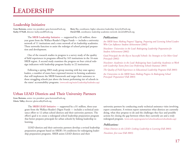# **Leadership Initiative**

**Gene Bottoms,** senior vice president: gene.bottoms@sreb.org **Betty Fry,** coordinator, higher education leadership: betty.fry@sreb.org **Kathy O'Neill,** director: kathy.oneill@sreb.org **David Hill,** coordinator, leadership academies network: david.hill@sreb.org

The **SREB Leadership Initiative** — supported by a \$3 million, threeyear grant from the Wallace-Reader's Digest Funds — includes a university network of 11 institutions and a state network of six leadership academies. These networks function to assist the redesign of school principal preparation and development.

One of the research studies in progress is a survey study of the quality of field experiences in programs offered by 165 institutions in the 16-state SREB region. A second study examines the progress on four critical redesign indicators with leadership program faculty in 22 institutions.

Following a spring 2003 study group meeting with key state agency leaders, a number of states have expressed interest in forming academies that will implement the SREB framework and target their assistance to those struggling schools just above the lowest performing tier of schools in the states' accountability programs. (www.sreb.org/main/Leadership/leadindex.asp)

#### *Publications:*

*Are SREB States Making Progress? Tapping, Preparing and Licensing School Leaders Who Can Influence Student Achievement* (2002)

*Newsletter: Universities in the Lead: Redesigning Leadership Preparation for Student Achievement* (2002)

*Good Principals Are the Key to Successful Schools: Six Strategies to Get More Good Principals* (2002)

*Newsletter: Academies in the Lead: Redesigning State Leadership Academies to Work with Leadership Teams from Low-Performing Schools* (Summer 2003)

*The Quality of Field Experiences in Educational Leadership Programs* (Fall 2003)

*Are Universities in the SREB States Making Progress In Redesigning School Principals' Preparation?* (Fall 2003)

### **Urban LEAD Districts and Their University Partners**

**Gene Bottoms,** senior vice president: gene.bottoms@sreb.org **Gloria Talley,** director: gloria.talley@sreb.org

> The **SREB LEAD Initiative** –– supported by a \$1 million, three-year grant from the Wallace-Reader's Digest Funds –– includes a technical assistance effort to 12 urban school districts and their university partners. The effort's goal is to create a redesigned school leadership preparation program that better prepares principals for urban schools by linking leadership to learning.

> LEAD districts and their university partners develop a revised leadership preparation program based on SREB's 10 conditions for redesigning leadership preparation programs. SREB assists LEAD districts and their

university partners by conducting yearly technical assistance visits involving expert consultants. A written report summarizes what districts are currently doing, what they propose to do and the challenges they face and possible actions for closing the gap between where they currently are and a truly redesigned program. (www.sreb.org/programs/srr/schoolreadiness/schoolindex.asp)

#### *Publications:*

*Urban Districts in the LEAD: Linking Leadership to Learning* (Fall 2003) *Newsletter, first issue* (Fall 2003)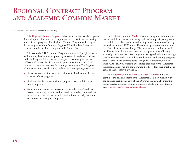# **REGIONAL CONTRACT PROGRAMAND ACADEMIC COMMON MARKET**

**Dawn Bristo,** staff associate: dawn.bristo@sreb.org

The **Regional Contract Program** enables states to share costly programs for health professionals and to postpone — or even avoid — duplicating some of these programs. The Regional Contract Program, which began in the early years of the Southern Regional Education Board, soon was a model for other regional compacts in the United States.

Thanks to the SREB Contract Program, thousands of people in states without schools of dentistry, optometry, osteopathic medicine, podiatry and veterinary medicine have earned degrees at nationally recognized colleges and universities. In the last 10 years alone, more than 17,800 contract spaces have been awarded through the program. The Regional Contract Program benefits states, students and participating institutions:

- States that contract for spaces for their qualified residents avoid the expenses of new programs.
- Students who live in states without programs may enroll in other states' programs.
- States and universities that reserve spaces for other states' students receive outstanding students and per-student subsidies from students' home states. These fees are in addition to tuition and help maintain operations and strengthen programs.

The **Academic Common Market** is another program that multiplies benefits and divides costs by allowing students from participating states to enroll in specialized graduate and undergraduate programs offered by institutions in other SREB states. The students pay in-state tuition and fees. States benefit in several ways. They can increase enrollments with qualified students from other states and can operate more efficiently, especially with these specialized programs that typically do not have large enrollments. States also benefit because they can avoid creating programs that are available to their residents through the Academic Common Market. About 2,000 students are certified each year for the Academic Common Market, making the Common Market's "four-year enrollment" equal to that of many universities.

The **Academic Common Market/***Electronic Campus* initiative combines the tuition benefits of the Academic Common Market with the distance-learning capacity of the *Electronic Campus.* The initiative makes selected distance-learning programs available at in-state tuition rates. (www.sreb.org/programs/acm/acmindex.asp)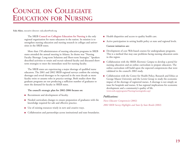# **COUNCIL ON COLLEGIATE EDUCATION FOR NURSING**

**Eula Aiken,** executive director: eula.aiken@sreb.org

The SREB **Council on Collegiate Education for Nursing** is the only regional organization for nurse educators in the nation. Its mission is to strengthen nursing education and nursing research in colleges and universities in the SREB states.

More than 150 administrators of nursing education programs in SREB states attended the annual meeting in Atlanta. Its theme was "Nursing Faculty Shortage: Long-term Solutions and Short-term Strategies." Speakers described activities to retain and recruit talented faculty and discussed shortterm strategies to meet the immediate need for nursing faculty.

The SREB states are experiencing a major shortage of qualified nurse educators. The 2001 and 2002 SREB regional surveys confirm the existing shortages and reveal shortages to be expected in the next decade as more faculty retire or assume roles in practice settings. Both studies show that graduate programs are not producing a sufficient number of graduates to meet the demand for faculty in SREB states.

**The council's strategic plan for 2002-2006 focuses on:**

- Recruitment and development of faculty.
- Needed curriculum changes to ensure preparation of graduates with the knowledge required for safe and effective practice.
- Use of existing resources wisely in new and creative ways.
- Collaboration and partnerships across institutional and state boundaries.
- Health disparities and access to quality health care.
- Active participation in setting health policy at state and regional levels.

**Current initiatives are:**

- Development of core Web-based courses for undergraduate programs. This is a method that may ease problems facing nursing education units in this region.
- Collaboration with the SREB *Electronic Campus* to develop a portal for nursing education and an online curriculum to prepare educators. The online curriculum will build upon the expected competencies that were validated in the council's 2002 study.
- Collaboration with the Center for Health Policy, Research and Ethics at George Mason University and the Lewin Group to study the economic impact of the shortage of registered nurses. A shortage is not simply an issue for hospitals and nurses. It has regional implications for economic development and a community's quality of life. (www.sreb.org/programs/Nursing/nursingindex.asp)

#### *Publications:*

*Nurse Educator Competencies* (2002)

*2002 SREB Survey Highlights and State by State Results* (2002)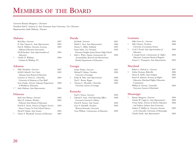# **MEMBERS OF THE BOARD**

Governor Ronnie Musgrove, *Chairman* President Paul E. Stanton Jr., East Tennessee State University, *Vice Chairman* Representative Jodie Mahony, *Treasurer*

#### **Alabama**

|   | Bob Riley, Governor                     | 2007 |
|---|-----------------------------------------|------|
|   | H. Mac Gipson Jr., State Representative | 2005 |
|   | Paul R. Hubbert, Executive Secretary,   | 2003 |
|   | Alabama Education Association           |      |
|   | Ed Richardson, State Superintendent of  | 2004 |
|   | Education                               |      |
| ÷ | Charlie D. Waldrep,                     | 2006 |
|   | Gorham & Waldrep, P.C.                  |      |
|   |                                         |      |

#### **Arkansas**

| Mike Huckabee, <i>Governor</i>                      | 2007 |
|-----------------------------------------------------|------|
| JoNell Caldwell, Vice Chair,                        | 2005 |
| Arkansas State Board of Education                   |      |
| Lawrence A. Davis Jr., <i>Chancellor</i> ,          | 2003 |
| University of Arkansas at Pine Bluff                |      |
| Steve Franks, <i>Director</i> , Arkansas Department | 2006 |
| of Workforce Education                              |      |
| Jodie Mahony, State Representative                  | 2004 |
|                                                     |      |

#### **Delaware**

| Ruth Ann Minner, Governor                        | 2005 |
|--------------------------------------------------|------|
| Mary B. Graham, Member,                          | 2003 |
| Delaware State Board of Education                |      |
| Patrick E. Savini, Director of Support Services, | 2004 |
| Sussex County Vo-Tech School District            |      |
| David P. Sokola, State Senator                   | 2002 |
| Valerie A. Woodruff, Secretary of Education      | 2005 |

#### **Florida**

|   | Jeb Bush, Governor                         | 2007 |
|---|--------------------------------------------|------|
|   | Rafael L. Arza, State Representative       | 2006 |
|   | Dorsey C. Miller, Parkland                 | 2005 |
|   | Susan Sailor, Vice Principal,              | 2003 |
|   | Keystone Heights Junior/Senior High School |      |
| ÷ | John L. Winn, Deputy Commissioner for      | 2004 |
|   | Accountability, Research and Measurement,  |      |
|   | Florida Department of Education            |      |
|   |                                            |      |

#### **Georgia**

|   | Sonny Perdue, Governor              | 2007 |
|---|-------------------------------------|------|
|   | Michael F. Adams, President,        | 2003 |
|   | University of Georgia               |      |
| ÷ | Kathy B. Ashe, State Representative | 2006 |
|   | Paul C. Broun, Bogart               | 2004 |
| ÷ | Thomas C. Meredith, Chancellor,     | 2005 |
|   | University System of Georgia        |      |

#### **Kentucky**

| Paul E. Patton, Governor                       | 2003 |
|------------------------------------------------|------|
| Edward S. Ford, Chief Operating Officer,       | 2006 |
| Governor's Executive Cabinet                   |      |
| David K. Karem, State Senator                  | 2003 |
| Gary A. Ransdell, President,                   | 2004 |
| Western Kentucky University                    |      |
| Gene Wilhoit, <i>Commissioner</i> of Education | 2005 |
|                                                |      |

#### **Louisiana**

|   | Mike Foster Jr., Governor                     | 2004 |
|---|-----------------------------------------------|------|
| ÷ | Sally Clausen, President,                     | 2006 |
|   | University of Louisiana System                |      |
| ÷ | Cecil J. Picard, State Superintendent of      | 2003 |
|   | Education                                     |      |
|   | E. Joseph Savoie, Commissioner of Higher      | 2004 |
|   | <i>Education</i> , Louisiana Board of Regents |      |
|   | Francis C. Thompson, State Representative     | 2005 |
|   |                                               |      |

#### **Maryland**

|   | Robert L. Ehrlich Jr., Governor              | 2007 |
|---|----------------------------------------------|------|
| t | Arthur Dorman, Beltsville                    | 2006 |
|   | Henry B. Heller, State Delegate              | 2003 |
|   | Karen R. Johnson, Secretary of Higher        | 2005 |
|   | <i>Education</i> , Maryland Higher Education |      |
|   | Commission                                   |      |
|   | William E. Kirwan, Chancellor,               | 2004 |
|   | University System of Maryland                |      |

#### **Mississippi**

|  | Ronnie Musgrove, Governor                    | 2004 |
|--|----------------------------------------------|------|
|  | Charles W. Capps Jr., State Representative   | 2004 |
|  | Vivian Taylor, Director of Teacher Education | 2006 |
|  | and Professor, Jackson State University      |      |
|  | Andrew P. Mullins Jr., Executive Assistant   | 2005 |
|  | to the Chancellor, University of Mississippi |      |
|  | Charlie Smith, State Representative          | 2003 |
|  |                                              |      |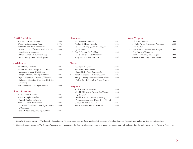#### **North Carolina**

|       | Michael F. Easley, Governor                     | 2005 |
|-------|-------------------------------------------------|------|
|       | Walter H. Dalton, State Senator                 | 2004 |
|       | Stanley H. Fox, State Representative            | 2005 |
| $+ *$ | Howard N. Lee, <i>Chairman</i> , North Carolina | 2003 |
|       | State Board of Education                        |      |
|       | William R. McNeal, Superintendent,              | 2006 |
|       | Wake County Public School System                |      |
|       |                                                 |      |

#### **Oklahoma**

|       | Brad Henry, Governor                               | 2007 |
|-------|----------------------------------------------------|------|
|       | Judith Coe, Dean, College of Education,            | 2005 |
|       | University of Central Oklahoma                     |      |
|       | Carolyn Coleman, State Representative              | 2004 |
| $+ *$ | Floyd L. Coppedge, <i>Professor of Education</i> , | 2003 |
|       | College of Education, Oklahoma Christian           |      |
|       | University                                         |      |
|       | Joan Greenwood, State Representative               | 2006 |
|       |                                                    |      |

#### **South Carolina**

| Mark Sanford, Governor                     | 2007 |
|--------------------------------------------|------|
| Ronald R. Ingle, President,                | 2004 |
| Coastal Carolina University                |      |
| Nikki G. Setzler, State Senator            | 2005 |
| Inez Moore Tenenbaum, State Superintendent | 2006 |
| of Education                               |      |
| Ronald P. Townsend, State Representative   | 2003 |

#### **Tennessee**

|       | Phil Bredesen, Governor              | 2007 |
|-------|--------------------------------------|------|
|       | Peaches G. Blank, Nashville          | 2003 |
|       | Lois M. DeBerry, Speaker Pro Tempore | 2006 |
|       | of the House                         |      |
| $+ *$ | Paul E. Stanton Jr., President,      | 2005 |
|       | East Tennessee State University      |      |
|       | Andy Womack, Murfreesboro            | 2004 |
|       |                                      |      |
| Texas |                                      |      |

#### **Texas**

| Rick Perry, Governor                          | 2007 |
|-----------------------------------------------|------|
| Teel Bivins, State Senator                    | 2005 |
| Dianne Delisi, State Representative           | 2003 |
| Kent Grusendorf, State Representative         | 2004 |
| Shirley J. Neeley, Superintendent of Schools, | 2006 |
| Galena Park Independent School District       |      |
|                                               |      |

#### **Virginia**

|  | Mark R. Warner, Governor                     | 2006 |
|--|----------------------------------------------|------|
|  | John H. Chichester, President Pro Tempore    | 2006 |
|  | of the Senate                                |      |
|  | Donald W. Jones, Director of Minority        | 2004 |
|  | Procurement Programs, University of Virginia |      |
|  | Demaris H. Miller, McLean                    | 2005 |
|  | Kirk T. Schroder, LeClair Ryan, P.C.         | 2003 |
|  |                                              |      |

#### **West Virginia**

|       | Bob Wise, Governor                       | 2005 |
|-------|------------------------------------------|------|
|       | Jay Cole, Deputy Secretary for Education | 2005 |
|       | and the Arts                             |      |
| $+ *$ | Lloyd Jackson, Member, West Virginia     | 2004 |
|       | State Board of Education                 |      |
|       | Jerry L. Mezzatesta, State Delegate      | 2002 |
|       | Roman W. Prezioso Jr., State Senator     | 2003 |

† *Executive Committee member* — The Executive Committee has full power to act between Board meetings. It is composed of one board member from each state and several from the region at large.

\* *Finance Committee member* — The Finance Committee, a subcommittee of the Executive Committee, prepares an annual budget and presents it and other financial policy matters to the Executive Committee.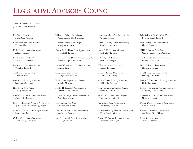# **LEGISLATIVE ADVISORY COUNCIL**

Ronald P. Townsend, *Chairman* Jack Hill, *Vice Chairman*

Jim Argue, *State Senator,* Little Rock, Arkansas

Rafael Arza, *State Representative,* Hialeah, Florida

Kathy B. Ashe, *State Representative,* Atlanta, Georgia

Ben Atchley, *State Senator,* Knoxville, Tennessee

Joe Barrows, *State Representative,* Versailles, Kentucky

Teel Bivins, *State Senator,* Amarillo, Texas

Dan Boren, *State Representative,* Seminole, Oklahoma

Hob Bryan, *State Senator,* Amory, Mississippi

Charles W. Capps Jr., *State Representative,* Cleveland, Mississippi

John H. Chichester, *President Pro Tempore of the Senate,* Fredericksburg, Virginia

Carolyn S. Coleman, *State Representative,* Moore, Oklahoma

Carl N. Crane, *State Representative,* Baton Rouge, Louisiana

Walter H. Dalton, *State Senator,* Rutherfordton, North Carolina

L. Karen Darner, *State Delegate,* Arlington, Virginia

Eugene E. Davidson, *State Representative,* Springfield, Tennessee

Lois M. DeBerry, *Speaker Pro Tempore of the House,* Memphis, Tennessee

Dianne White Delisi, *State Representative,* Temple, Texas

Larry Dixon, *State Senator,* Montgomery, Alabama

Vivian Davis Figures, *State Senator,* Mobile, Alabama

Stanley H. Fox, *State Representative,* Oxford, North Carolina

H. Mac Gipson Jr., *State Representative,* Prattville, Alabama

Jack Gordon, *State Senator,* Okolona, Mississippi

Mary Beth Green, *State Representative,* Van Buren, Arkansas

Joan Greenwood, *State Representative,* Moore, Oklahoma

Kent Grusendorf, *State Representative,* Arlington, Texas

David M. Haak, *State Representative,* Texarkana, Arkansas

Henry B. Heller, *State Delegate,* Rockville, Maryland

Jack Hill, *State Senator,* Reidsville, Georgia

William A. Jones, *State Senator,* Ruston, Louisiana

David K. Karem, *State Senator,* Louisville, Kentucky

Jodie Mahony, *State Representative,* El Dorado, Arkansas

John W. Matthews Jr., *State Senator,* Bowman, South Carolina

Jerry L. Mezzatesta, *State Delegate,* Romney, West Virginia

Kevin Penix, *State Representative,* Fort Smith, Arkansas

DuBose Porter, *Speaker Pro Tempore of the House,* Dublin, Georgia

Roman W. Prezioso Jr., *State Senator,* Fairmont, West Virginia

Jody Richards, *Speaker of the House,* Bowling Green, Kentucky

Joe R. Salter, *State Representative,* Florien, Louisiana

Nikki G. Setzler, *State Senator,* West Columbia, South Carolina

Charlie Smith, *State Representative,* Eupora, Mississippi

David P. Sokola, *State Senator,* Newark, Delaware

Gerald Theunissen, *State Senator,* Jennings, Louisiana

Francis C. Thompson, *State Representative,* Delhi, Louisiana

Ronald P. Townsend, *State Representative,* Anderson, South Carolina

Stephanie A. Ulbrich, *State Representative,* Newark, Delaware

Debbie Wasserman Schultz, *State Senator,* Weston, Florida

Kathleen Wilcoxson, *State Senator,* Oklahoma City, Oklahoma

Penny Williams, *State Senator,* Tulsa, Oklahoma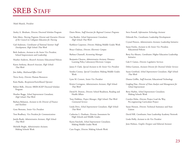# **SREB STAFF**

#### Mark Musick, *President*

- Ansley A. Abraham, *Director,* Doctoral Scholars Program
- Eula Aiken, *Nursing Programs Director* and *Executive Director of the Council on Collegiate Education for Nursing*
- Gail Anderson, *Coordinator of National Summer Staff Development, High Schools That Work*
- Beth Andrews, *Assistant to the Senior Vice President,* School Improvement and Leadership
- Heather Andrews, *Research Assistant,* Educational Policies
- Karen Anthony, *Research Associate, High Schools That Work*
- Jim Ashby, *Mailroom/Office Clerk*
- Tricia Avery, *Director,* Human Resources
- Katie Banks, *Receptionist/Switchboard Operator*
- Robert Belle, *Director,* SREB-AGEP Doctoral Scholars Program
- Heather Boggs, *School Improvement Consultant, High Schools That Work*
- Barbara Bohanon, *Assistant to the Director of Finance and Facilities*
- Gene Bottoms, *Senior Vice President*
- Tom Bradbury, *Vice President for Communications*
- Jamila Brady, *Administrative Assistant, High Schools That Work*
- Michelle Bright, *Administrative Assistant,*  Making Schools Work

Dawn Bristo, *Staff Associate for Regional Contract Programs*

- Gay Burden, *School Improvement Consultant, High Schools That Work*
- Kathleen Carpenter, *Director,* Making Middle Grades Work
- Bruce Chaloux, *Director, Electronic Campus*
- Barbara Channell, *Accounting Manager*
- Benjamin Cheaves, *Administrative Assistant,* Distance Learning Policy Laboratory/*Electronic Campus*
- James F. Clark, *Special Assistant to the Senior Vice President*
- Sondra Cooney, *Special Consultant,* Making Middle Grades Work
- Lynn M. Cornett, *Senior Vice President*
- Kristie Covington, *Administrative Assistant, High Schools That Work*
- David R. Denton, *Director,* School Readiness, Reading and Health Affairs
- Tony Dobbins, *Project Manager, High Schools That Work Contracted Services*
- Linda Dove, *School Improvement Consultant, High Schools That Work*
- Catherine L. Dunham, *Director,* Assessment for High Schools and Middle Grades
- Karen Faircloth, *School Improvement Consultant,*  Making Middle Grades Work
- Caro Feagin, *Director,* Making Schools Work
- Steve Fennell, *Information Technology Assistant*
- Deborah Fite, *Coordinator,* Leadership Development
- Crystal Flowers, *Administrative Assistant,* Leadership Initiative
- Susan Fowler, *Assistant to the Senior Vice President,* Educational Policies
- Betty Fry-Ahearn, *Coordinator,* Higher Education Leadership Initiative
- Gale F. Gaines, *Director,* Legislative Services
- Debra Garmon, *Assistant Director for Doctoral Scholar Services*
- Susan Gottfried, *School Improvement Consultant, High Schools That Work*
- Dianne Griffin, *Staff Associate,* Educational Technology
- Lingling Han, *Director of Data Analysis and Management for School Improvement*
- Betty Harbin, *School Improvement Consultant,*  Making Schools Work
- Carolyn Helm, *Director,* Project Lead the Way, Pre-engineering Curriculum Project
- Susan Henson, *Director,* Technical Assistance and State Liaison
- David Hill, *Coordinator,* State Leadership Academy Network
- Linda Holly, *Assistant to the Vice President*
- Jenn Holmes, *Graphic Designer and Editorial Assistant*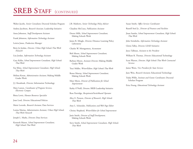# **SREB STAFF** (CONTINUED)

Walter Jacobs, *Senior Consultant,* Doctoral Scholars Program

- Andrea Jacobson, *Research Associate,* Leadership Initiative
- Anna Johnston, *Staff Development Assistant*
- Frank Johnston, *Information Technology Assistant*
- Leticia Jones, *Production Manager*
- Betty Jo Jordan, *Director, Urban High Schools That Work Network*
- Lisa Jordan, *Information Technology Assistant*
- Gary Keller, *School Improvement Consultant, High Schools That Work*
- Fay Kline, *School Improvement Consultant, High Schools That Work*
- Melissa Koran, *Administrative Assistant,* Making Middle Grades Work
- J.J. Kwashnak, *Director,* Information Technology
- Mary Larson, *Coordinator of Program Services, Electronic Campus*
- Binta Lewis, *Human Resources Specialist*
- Joan Lord, *Director,* Educational Policies
- Marie Loverde, *Research Assistant,* Data Services
- Lonisa Marina, *Administrative Assistant, Urban High Schools That Work Network*
- Joseph L. Marks, *Director,* Data Services
- Kenneth Mason, *School Improvement Consultant, High Schools That Work*

J.B. Mathews, *Senior Technology Policy Adviser*

Claudine McCrary, *Publications Assistant*

- Dexter Mills, *School Improvement Consultant,*  Making Schools Work
- James R. Mingle, *Director,* Distance Learning Policy Laboratory
- Charles W. Montgomery, *Accountant*
- Bob Moore, *School Improvement Consultant,*  Making Schools Work
- Barbara Moore, *Assistant Director,* Making Middle Grades Work
- Traci Müller, *Writer/Editor, High Schools That Work*
- Renee Murray, *School Improvement Consultant,* Making Schools Work
- Mary Myers, *Director of Publications for School Improvement*
- Kathy O'Neill, *Director,* SREB Leadership Initiative
- Rose Partridge, *Receptionist/Switchboard Operator*
- Alice E. Presson, *Director of Research, High Schools That Work*
- Amy L. Schneider, *Publications and Web Page Editor*
- Christy Shepherd, *Writer/Editor for School Improvement*
- Janie Smith, *Director of Staff Development,* Making Schools Work
- Steve Smith, *School Improvement Consultant, High Schools That Work*

#### Susan Smith, *Office Services Coordinator*

- Russell Steel Jr., *Director of Finances and Facilities*
- Jinan Sumler, *School Improvement Consultant, High Schools That Work*
- John Swisshelm, *Information Technology Assistant*
- Gloria Talley, *Director,* LEAD Initiative
- Joyce Tallman, *Assistant to the President*
- William R. Thomas, *Director,* Educational Technology
- Scott Warren, *Director, High Schools That Work Contracted Services*
- James Watts, *Vice President for State Services*
- June Weis, *Research Assistant,* Educational Technology
- Trakia Willis, *Institute and Grants Coordinator,* Doctoral Scholars Program
- Erica Young, *Educational Technology Assistant*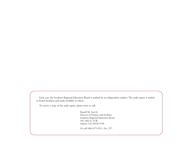Each year, the Southern Regional Education Board is audited by an independent auditor. The audit report is mailed to board members and made available to others.

To receive a copy of the audit report, please write or call:

Russell M. Steel Jr. Director of Finance and Facilities Southern Regional Education Board 592 10th St. N.W. Atlanta, GA 30318-5790

Or call (404) 875-9211, Ext. 257.